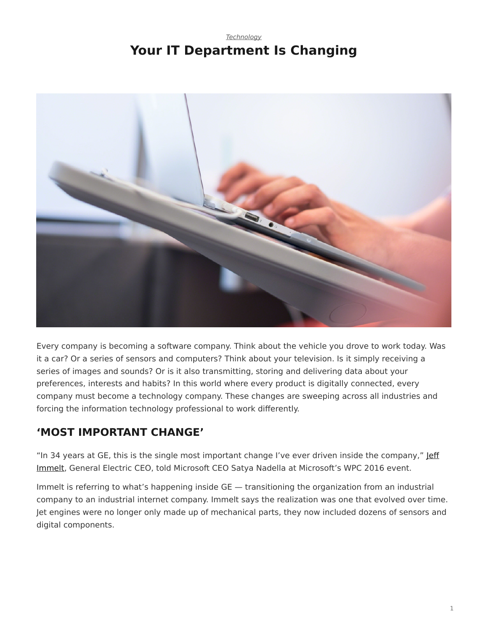#### *[Technology](https://www.steelcase.com/research/topics/technology/)* **Your IT Department Is Changing**

<span id="page-0-0"></span>

Every company is becoming a software company. Think about the vehicle you drove to work today. Was it a car? Or a series of sensors and computers? Think about your television. Is it simply receiving a series of images and sounds? Or is it also transmitting, storing and delivering data about your preferences, interests and habits? In this world where every product is digitally connected, every company must become a technology company. These changes are sweeping across all industries and forcing the information technology professional to work differently.

## **'MOST IMPORTANT CHANGE'**

"In 34 years at GE, this is the single most important change I've ever driven inside the company," [Jeff](https://www.youtube.com/watch?v=tMPFDUpnUd4) [Immelt,](https://www.youtube.com/watch?v=tMPFDUpnUd4) General Electric CEO, told Microsoft CEO Satya Nadella at Microsoft's WPC 2016 event.

Immelt is referring to what's happening inside GE — transitioning the organization from an industrial company to an industrial internet company. Immelt says the realization was one that evolved over time. Jet engines were no longer only made up of mechanical parts, they now included dozens of sensors and digital components.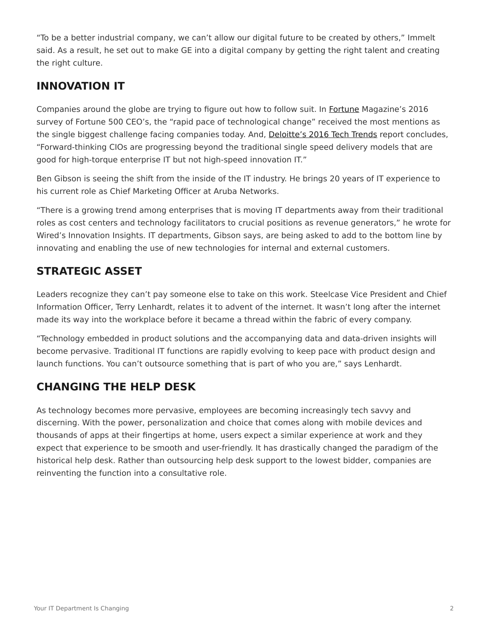"To be a better industrial company, we can't allow our digital future to be created by others," Immelt said. As a result, he set out to make GE into a digital company by getting the right talent and creating the right culture.

#### **INNOVATION IT**

Companies around the globe are trying to figure out how to follow suit. In [Fortune](http://fortune.com/2016/06/03/challenges-facing-fortune-500/) Magazine's 2016 survey of Fortune 500 CEO's, the "rapid pace of technological change" received the most mentions as the single biggest challenge facing companies today. And, [Deloitte's 2016 Tech Trends](https://www2.deloitte.com/global/en/pages/technology/articles/tech-trends.html) report concludes, "Forward-thinking CIOs are progressing beyond the traditional single speed delivery models that are good for high-torque enterprise IT but not high-speed innovation IT."

Ben Gibson is seeing the shift from the inside of the IT industry. He brings 20 years of IT experience to his current role as Chief Marketing Officer at Aruba Networks.

"There is a growing trend among enterprises that is moving IT departments away from their traditional roles as cost centers and technology facilitators to crucial positions as revenue generators," he wrote for Wired's Innovation Insights. IT departments, Gibson says, are being asked to add to the bottom line by innovating and enabling the use of new technologies for internal and external customers.

### **STRATEGIC ASSET**

Leaders recognize they can't pay someone else to take on this work. Steelcase Vice President and Chief Information Officer, Terry Lenhardt, relates it to advent of the internet. It wasn't long after the internet made its way into the workplace before it became a thread within the fabric of every company.

"Technology embedded in product solutions and the accompanying data and data-driven insights will become pervasive. Traditional IT functions are rapidly evolving to keep pace with product design and launch functions. You can't outsource something that is part of who you are," says Lenhardt.

# **CHANGING THE HELP DESK**

As technology becomes more pervasive, employees are becoming increasingly tech savvy and discerning. With the power, personalization and choice that comes along with mobile devices and thousands of apps at their fingertips at home, users expect a similar experience at work and they expect that experience to be smooth and user-friendly. It has drastically changed the paradigm of the historical help desk. Rather than outsourcing help desk support to the lowest bidder, companies are reinventing the function into a consultative role.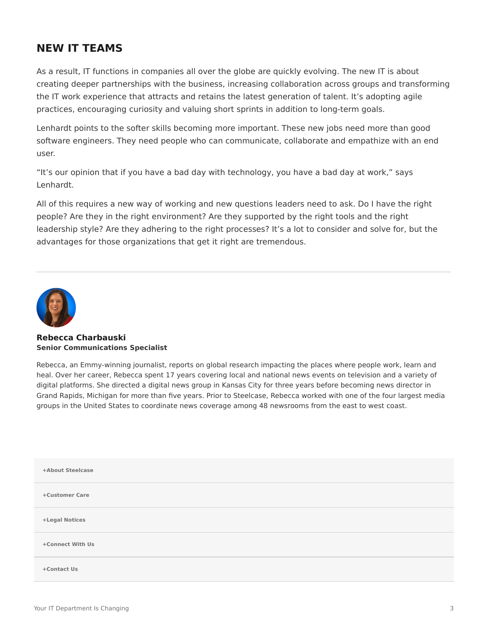#### **NEW IT TEAMS**

As a result, IT functions in companies all over the globe are quickly evolving. The new IT is about creating deeper partnerships with the business, increasing collaboration across groups and transforming the IT work experience that attracts and retains the latest generation of talent. It's adopting agile practices, encouraging curiosity and valuing short sprints in addition to long-term goals.

Lenhardt points to the softer skills becoming more important. These new jobs need more than good software engineers. They need people who can communicate, collaborate and empathize with an end user.

"It's our opinion that if you have a bad day with technology, you have a bad day at work," says Lenhardt.

All of this requires a new way of working and new questions leaders need to ask. Do I have the right people? Are they in the right environment? Are they supported by the right tools and the right leadership style? Are they adhering to the right processes? It's a lot to consider and solve for, but the advantages for those organizations that get it right are tremendous.



#### **[Rebecca Charbauski](https://www.steelcase.com/research/articles/author/rcharbausteelcase-com/) Senior Communications Specialist**

Rebecca, an Emmy-winning journalist, reports on global research impacting the places where people work, learn and heal. Over her career, Rebecca spent 17 years covering local and national news events on television and a variety of digital platforms. She directed a digital news group in Kansas City for three years before becoming news director in Grand Rapids, Michigan for more than five years. Prior to Steelcase, Rebecca worked with one of the four largest media groups in the United States to coordinate news coverage among 48 newsrooms from the east to west coast.

| +About Steelcase |  |
|------------------|--|
| +Customer Care   |  |
| +Legal Notices   |  |
| +Connect With Us |  |
| +Contact Us      |  |